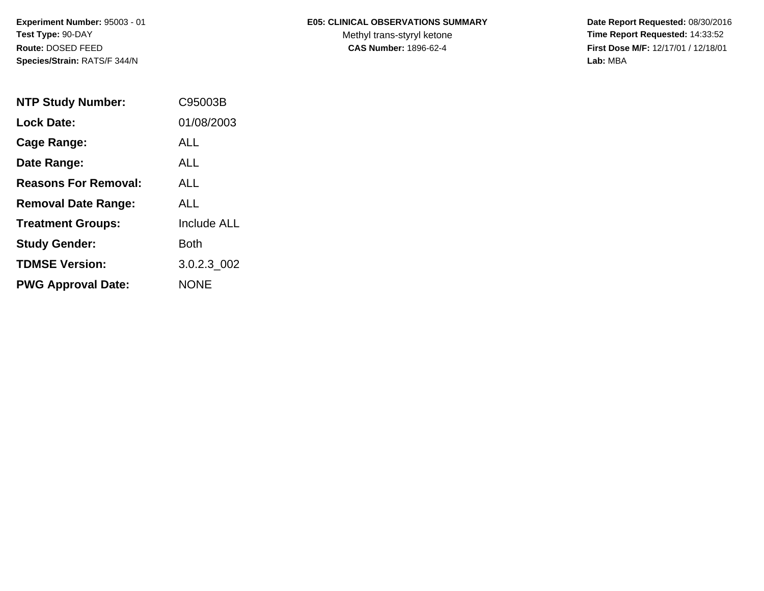## **E05: CLINICAL OBSERVATIONS SUMMARY**

Methyl trans-styryl ketone<br>CAS Number: 1896-62-4

 **Date Report Requested:** 08/30/2016 **Time Report Requested:** 14:33:52 **First Dose M/F:** 12/17/01 / 12/18/01<br>Lab: MBA **Lab:** MBA

| <b>NTP Study Number:</b>    | C95003B            |
|-----------------------------|--------------------|
| <b>Lock Date:</b>           | 01/08/2003         |
| Cage Range:                 | ALL                |
| Date Range:                 | AI I               |
| <b>Reasons For Removal:</b> | AI I               |
| <b>Removal Date Range:</b>  | ALL                |
| <b>Treatment Groups:</b>    | <b>Include ALL</b> |
| <b>Study Gender:</b>        | <b>Both</b>        |
| <b>TDMSE Version:</b>       | 3.0.2.3 002        |
| <b>PWG Approval Date:</b>   | <b>NONE</b>        |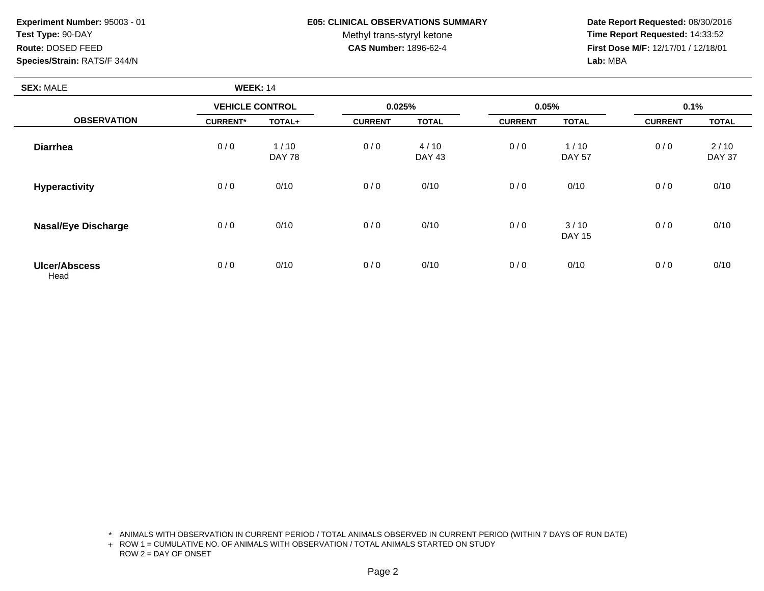## **E05: CLINICAL OBSERVATIONS SUMMARY**

Methyl trans-styryl ketone<br>CAS Number: 1896-62-4

 **Date Report Requested:** 08/30/2016 **Time Report Requested:** 14:33:52 **First Dose M/F:** 12/17/01 / 12/18/01<br>Lab: MBA **Lab:** MBA

| <b>SEX: MALE</b>             | <b>WEEK: 14</b>        |                       |                |                       |                |                         |                |                       |
|------------------------------|------------------------|-----------------------|----------------|-----------------------|----------------|-------------------------|----------------|-----------------------|
|                              | <b>VEHICLE CONTROL</b> |                       |                | 0.025%                |                | 0.05%                   |                | 0.1%                  |
| <b>OBSERVATION</b>           | <b>CURRENT*</b>        | TOTAL+                | <b>CURRENT</b> | <b>TOTAL</b>          | <b>CURRENT</b> | <b>TOTAL</b>            | <b>CURRENT</b> | <b>TOTAL</b>          |
| <b>Diarrhea</b>              | 0/0                    | 1/10<br><b>DAY 78</b> | 0/0            | 4/10<br><b>DAY 43</b> | 0/0            | $1/10$<br><b>DAY 57</b> | 0/0            | 2/10<br><b>DAY 37</b> |
| Hyperactivity                | 0/0                    | 0/10                  | 0/0            | 0/10                  | 0/0            | 0/10                    | 0/0            | 0/10                  |
| <b>Nasal/Eye Discharge</b>   | 0/0                    | 0/10                  | 0/0            | 0/10                  | 0/0            | 3/10<br><b>DAY 15</b>   | 0/0            | 0/10                  |
| <b>Ulcer/Abscess</b><br>Head | 0/0                    | 0/10                  | 0/0            | 0/10                  | 0/0            | 0/10                    | 0/0            | 0/10                  |

\* ANIMALS WITH OBSERVATION IN CURRENT PERIOD / TOTAL ANIMALS OBSERVED IN CURRENT PERIOD (WITHIN 7 DAYS OF RUN DATE)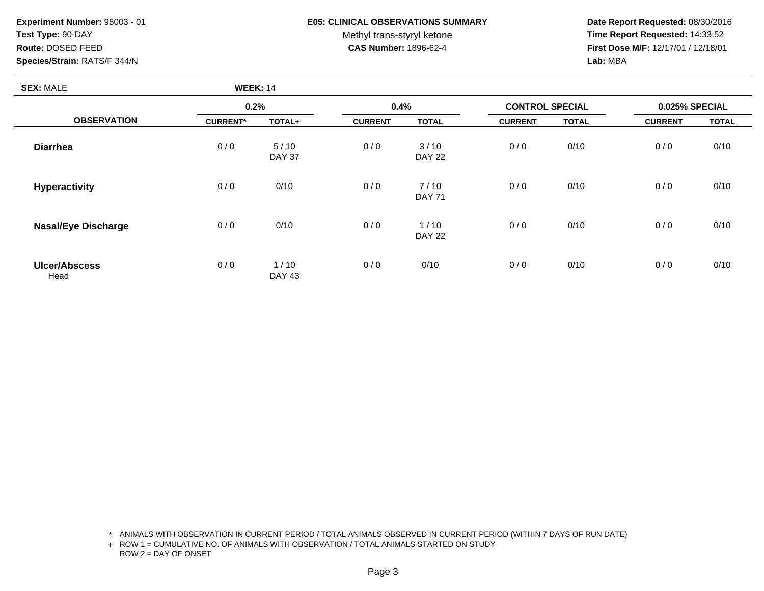## **E05: CLINICAL OBSERVATIONS SUMMARY**

Methyl trans-styryl ketone<br>CAS Number: 1896-62-4

 **Date Report Requested:** 08/30/2016 **Time Report Requested:** 14:33:52 **First Dose M/F:** 12/17/01 / 12/18/01<br>**Lab:** MBA **Lab:** MBA

| <b>SEX: MALE</b>           | <b>WEEK: 14</b> |                         |                |                       |                |                        |                |                |  |
|----------------------------|-----------------|-------------------------|----------------|-----------------------|----------------|------------------------|----------------|----------------|--|
|                            | 0.2%            |                         | 0.4%           |                       |                | <b>CONTROL SPECIAL</b> |                | 0.025% SPECIAL |  |
| <b>OBSERVATION</b>         | <b>CURRENT*</b> | TOTAL+                  | <b>CURRENT</b> | <b>TOTAL</b>          | <b>CURRENT</b> | <b>TOTAL</b>           | <b>CURRENT</b> | <b>TOTAL</b>   |  |
| <b>Diarrhea</b>            | 0/0             | $5/10$<br><b>DAY 37</b> | 0/0            | 3/10<br><b>DAY 22</b> | 0/0            | 0/10                   | 0/0            | 0/10           |  |
| <b>Hyperactivity</b>       | 0/0             | 0/10                    | 0/0            | 7/10<br><b>DAY 71</b> | 0/0            | 0/10                   | 0/0            | 0/10           |  |
| <b>Nasal/Eye Discharge</b> | 0/0             | 0/10                    | 0/0            | 1/10<br><b>DAY 22</b> | 0/0            | 0/10                   | 0/0            | 0/10           |  |
| Ulcer/Abscess<br>Head      | 0/0             | 1/10<br><b>DAY 43</b>   | 0/0            | 0/10                  | 0/0            | 0/10                   | 0/0            | 0/10           |  |

\* ANIMALS WITH OBSERVATION IN CURRENT PERIOD / TOTAL ANIMALS OBSERVED IN CURRENT PERIOD (WITHIN 7 DAYS OF RUN DATE)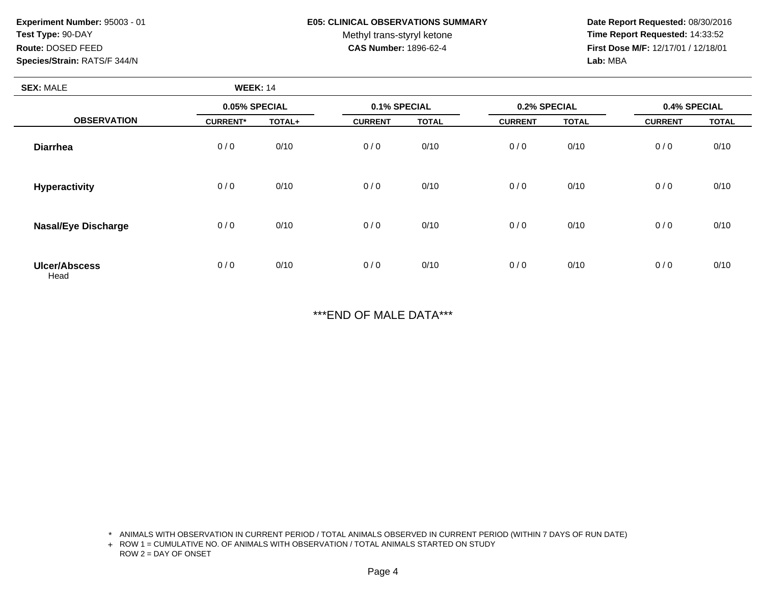#### **E05: CLINICAL OBSERVATIONS SUMMARY**

Methyl trans-styryl ketone<br>CAS Number: 1896-62-4

 **Date Report Requested:** 08/30/2016 **Time Report Requested:** 14:33:52 **First Dose M/F:** 12/17/01 / 12/18/01<br>Lab: MBA **Lab:** MBA

| <b>SEX: MALE</b>             | <b>WEEK: 14</b> |        |                |              |                |              |                |              |
|------------------------------|-----------------|--------|----------------|--------------|----------------|--------------|----------------|--------------|
| <b>OBSERVATION</b>           | 0.05% SPECIAL   |        | 0.1% SPECIAL   |              | 0.2% SPECIAL   |              | 0.4% SPECIAL   |              |
|                              | <b>CURRENT*</b> | TOTAL+ | <b>CURRENT</b> | <b>TOTAL</b> | <b>CURRENT</b> | <b>TOTAL</b> | <b>CURRENT</b> | <b>TOTAL</b> |
| <b>Diarrhea</b>              | 0/0             | 0/10   | 0/0            | 0/10         | 0/0            | 0/10         | 0/0            | 0/10         |
| <b>Hyperactivity</b>         | 0/0             | 0/10   | 0/0            | 0/10         | 0/0            | 0/10         | 0/0            | 0/10         |
| <b>Nasal/Eye Discharge</b>   | 0/0             | 0/10   | 0/0            | 0/10         | 0/0            | 0/10         | 0/0            | 0/10         |
| <b>Ulcer/Abscess</b><br>Head | 0/0             | 0/10   | 0/0            | 0/10         | 0/0            | 0/10         | 0/0            | 0/10         |

\*\*\*END OF MALE DATA\*\*\*

\* ANIMALS WITH OBSERVATION IN CURRENT PERIOD / TOTAL ANIMALS OBSERVED IN CURRENT PERIOD (WITHIN 7 DAYS OF RUN DATE)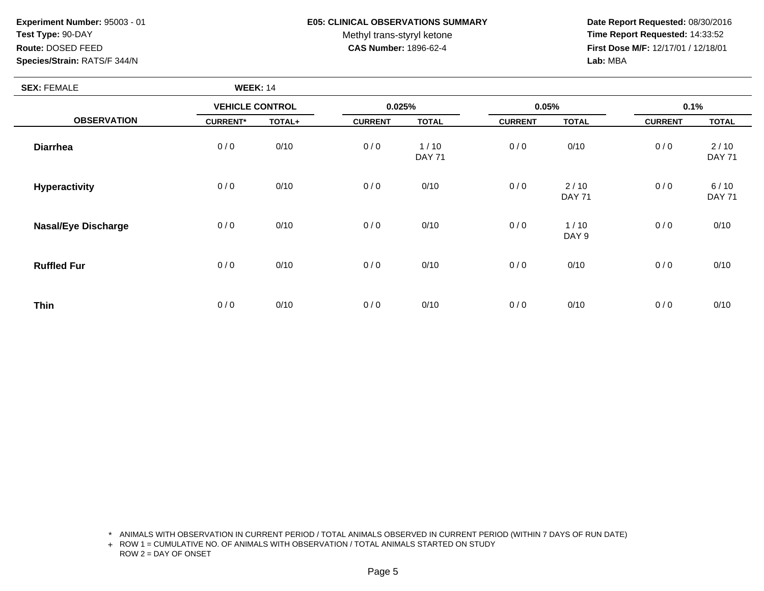## **E05: CLINICAL OBSERVATIONS SUMMARY**

Methyl trans-styryl ketone<br>CAS Number: 1896-62-4

 **Date Report Requested:** 08/30/2016 **Time Report Requested:** 14:33:52 **First Dose M/F:** 12/17/01 / 12/18/01<br>Lab: MBA **Lab:** MBA

| <b>SEX: FEMALE</b>         | <b>WEEK: 14</b>        |        |                |                       |                |                       |                |                       |
|----------------------------|------------------------|--------|----------------|-----------------------|----------------|-----------------------|----------------|-----------------------|
|                            | <b>VEHICLE CONTROL</b> |        |                | 0.025%                |                | 0.05%                 |                | 0.1%                  |
| <b>OBSERVATION</b>         | <b>CURRENT*</b>        | TOTAL+ | <b>CURRENT</b> | <b>TOTAL</b>          | <b>CURRENT</b> | <b>TOTAL</b>          | <b>CURRENT</b> | <b>TOTAL</b>          |
| <b>Diarrhea</b>            | 0/0                    | 0/10   | 0/0            | 1/10<br><b>DAY 71</b> | 0/0            | 0/10                  | 0/0            | 2/10<br><b>DAY 71</b> |
| Hyperactivity              | 0/0                    | 0/10   | 0/0            | 0/10                  | 0/0            | 2/10<br><b>DAY 71</b> | 0/0            | 6/10<br><b>DAY 71</b> |
| <b>Nasal/Eye Discharge</b> | 0/0                    | 0/10   | 0/0            | 0/10                  | 0/0            | 1/10<br>DAY 9         | 0/0            | 0/10                  |
| <b>Ruffled Fur</b>         | 0/0                    | 0/10   | 0/0            | 0/10                  | 0/0            | 0/10                  | 0/0            | 0/10                  |
| <b>Thin</b>                | 0/0                    | 0/10   | 0/0            | 0/10                  | 0/0            | 0/10                  | 0/0            | 0/10                  |

\* ANIMALS WITH OBSERVATION IN CURRENT PERIOD / TOTAL ANIMALS OBSERVED IN CURRENT PERIOD (WITHIN 7 DAYS OF RUN DATE)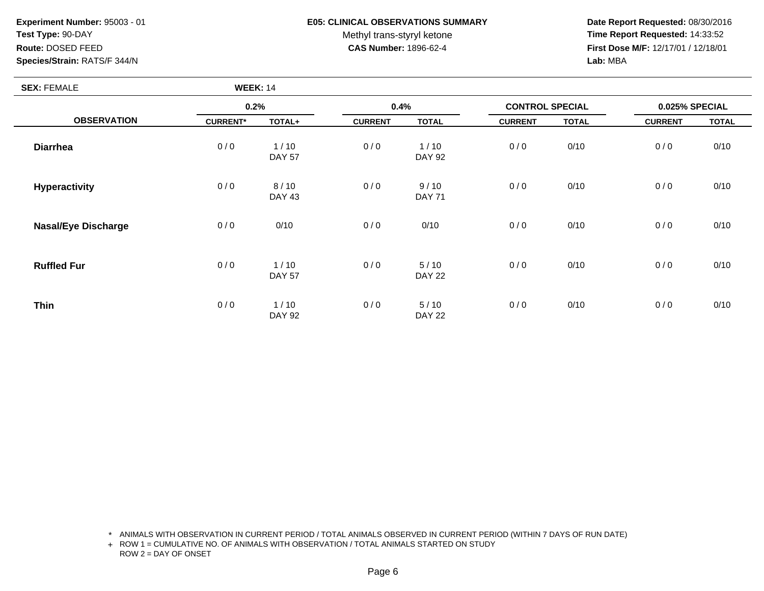## **E05: CLINICAL OBSERVATIONS SUMMARY**

Methyl trans-styryl ketone<br>CAS Number: 1896-62-4

 **Date Report Requested:** 08/30/2016 **Time Report Requested:** 14:33:52 **First Dose M/F:** 12/17/01 / 12/18/01<br>Lab: MBA **Lab:** MBA

| <b>SEX: FEMALE</b>         | <b>WEEK: 14</b> |                       |                |                       |                        |              |                |              |
|----------------------------|-----------------|-----------------------|----------------|-----------------------|------------------------|--------------|----------------|--------------|
|                            | 0.2%            |                       | 0.4%           |                       | <b>CONTROL SPECIAL</b> |              | 0.025% SPECIAL |              |
| <b>OBSERVATION</b>         | <b>CURRENT*</b> | TOTAL+                | <b>CURRENT</b> | <b>TOTAL</b>          | <b>CURRENT</b>         | <b>TOTAL</b> | <b>CURRENT</b> | <b>TOTAL</b> |
| <b>Diarrhea</b>            | 0/0             | 1/10<br><b>DAY 57</b> | 0/0            | 1/10<br><b>DAY 92</b> | 0/0                    | 0/10         | 0/0            | 0/10         |
| <b>Hyperactivity</b>       | 0/0             | 8/10<br><b>DAY 43</b> | 0/0            | 9/10<br><b>DAY 71</b> | 0/0                    | 0/10         | 0/0            | 0/10         |
| <b>Nasal/Eye Discharge</b> | 0/0             | 0/10                  | 0/0            | 0/10                  | 0/0                    | 0/10         | 0/0            | 0/10         |
| <b>Ruffled Fur</b>         | 0/0             | 1/10<br><b>DAY 57</b> | 0/0            | 5/10<br><b>DAY 22</b> | 0/0                    | 0/10         | 0/0            | 0/10         |
| <b>Thin</b>                | 0/0             | 1/10<br><b>DAY 92</b> | 0/0            | 5/10<br><b>DAY 22</b> | 0/0                    | 0/10         | 0/0            | 0/10         |

\* ANIMALS WITH OBSERVATION IN CURRENT PERIOD / TOTAL ANIMALS OBSERVED IN CURRENT PERIOD (WITHIN 7 DAYS OF RUN DATE)